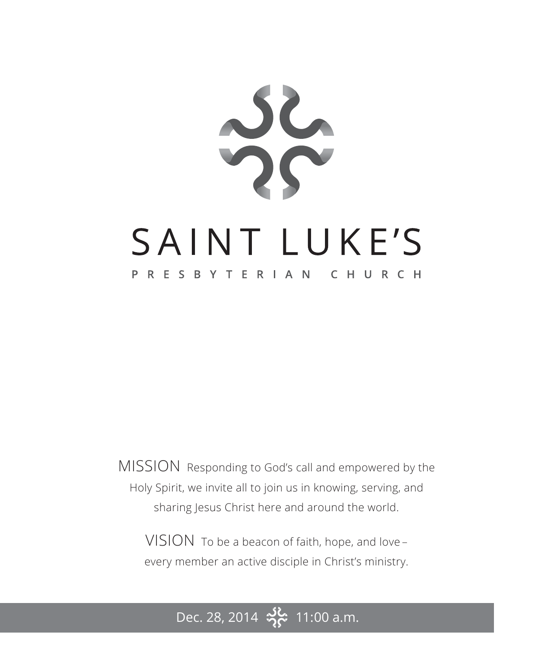

MISSION Responding to God's call and empowered by the Holy Spirit, we invite all to join us in knowing, serving, and sharing Jesus Christ here and around the world.

VISION To be a beacon of faith, hope, and love – every member an active disciple in Christ's ministry.

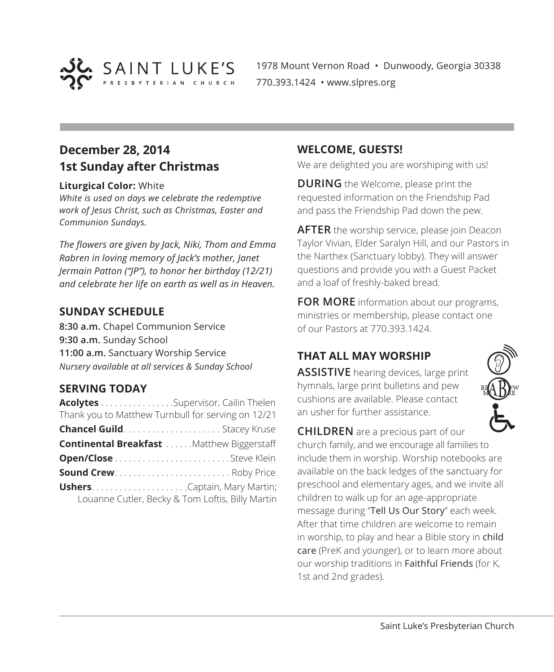

1978 Mount Vernon Road • Dunwoody, Georgia 30338 770.393.1424 • www.slpres.org

## **December 28, 2014 1st Sunday after Christmas**

#### **Liturgical Color:** White

*White is used on days we celebrate the redemptive work of Jesus Christ, such as Christmas, Easter and Communion Sundays.*

*The flowers are given by Jack, Niki, Thom and Emma Rabren in loving memory of Jack's mother, Janet Jermain Patton ("JP"), to honor her birthday (12/21) and celebrate her life on earth as well as in Heaven.*

#### **SUNDAY SCHEDULE**

**8:30 a.m.** Chapel Communion Service **9:30 a.m.** Sunday School **11:00 a.m.** Sanctuary Worship Service *Nursery available at all services & Sunday School*

#### **SERVING TODAY**

| Acolytes Supervisor, Cailin Thelen                 |                                                   |
|----------------------------------------------------|---------------------------------------------------|
| Thank you to Matthew Turnbull for serving on 12/21 |                                                   |
| <b>Chancel Guild</b> Stacey Kruse                  |                                                   |
|                                                    | <b>Continental Breakfast </b> Matthew Biggerstaff |
|                                                    |                                                   |
|                                                    | <b>Sound Crew Roby Price</b>                      |
|                                                    | <b>UshersCaptain, Mary Martin;</b>                |
|                                                    | Louanne Cutler, Becky & Tom Loftis, Billy Martin  |

#### **WELCOME, GUESTS!**

We are delighted you are worshiping with us!

**DURING** the Welcome, please print the requested information on the Friendship Pad and pass the Friendship Pad down the pew.

**AFTER** the worship service, please join Deacon Taylor Vivian, Elder Saralyn Hill, and our Pastors in the Narthex (Sanctuary lobby). They will answer questions and provide you with a Guest Packet and a loaf of freshly-baked bread.

**FOR MORE** information about our programs, ministries or membership, please contact one of our Pastors at 770.393.1424.

#### **THAT ALL MAY WORSHIP**

**ASSISTIVE** hearing devices, large print hymnals, large print bulletins and pew cushions are available. Please contact an usher for further assistance.



**CHILDREN** are a precious part of our church family, and we encourage all families to include them in worship. Worship notebooks are available on the back ledges of the sanctuary for preschool and elementary ages, and we invite all children to walk up for an age-appropriate message during "Tell Us Our Story" each week. After that time children are welcome to remain in worship, to play and hear a Bible story in child care (PreK and younger), or to learn more about our worship traditions in Faithful Friends (for K, 1st and 2nd grades).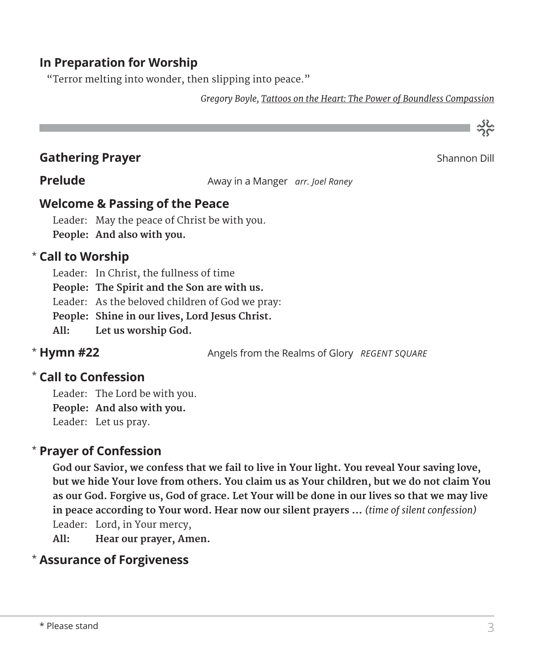### **In Preparation for Worship**

"Terror melting into wonder, then slipping into peace."

*Gregory Boyle, Tattoos on the Heart: The Power of Boundless Compassion*

**Gathering Prayer** Shannon Dill

သိုင်္

**Prelude Away in a Manger** *arr. Joel Raney* 

#### **Welcome & Passing of the Peace**

Leader: May the peace of Christ be with you. **People: And also with you.**

#### **Call to Worship**  \*

Leader: In Christ, the fullness of time **People: The Spirit and the Son are with us.**

Leader: As the beloved children of God we pray:

**People: Shine in our lives, Lord Jesus Christ.**

**All: Let us worship God.**

#### \* Hymn #22

Angels from the Realms of Glory *REGENT SQUARE* 

#### **Call to Confession**  \*

Leader: The Lord be with you. **People: And also with you.** Leader: Let us pray.

#### **Prayer of Confession**  \*

**God our Savior, we confess that we fail to live in Your light. You reveal Your saving love, but we hide Your love from others. You claim us as Your children, but we do not claim You as our God. Forgive us, God of grace. Let Your will be done in our lives so that we may live in peace according to Your word. Hear now our silent prayers …** *(time of silent confession)* Leader: Lord, in Your mercy,

**All: Hear our prayer, Amen.**

#### **Assurance of Forgiveness** \*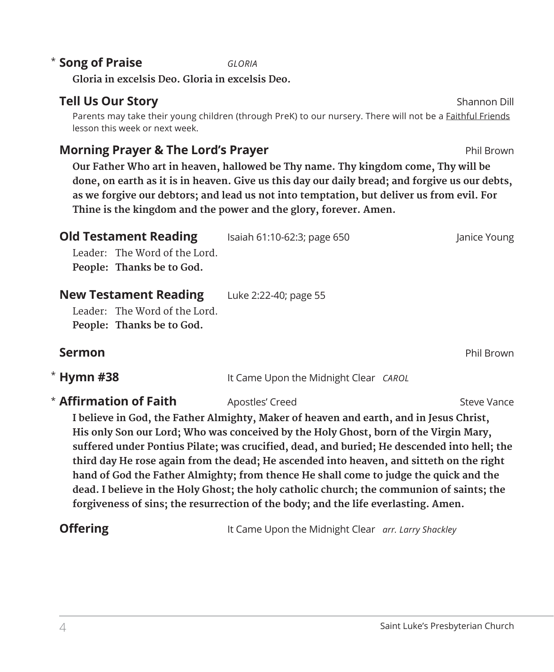#### **Tell Us Our Story** Shannon Dill

Parents may take their young children (through PreK) to our nursery. There will not be a **Faithful Friends** lesson this week or next week.

#### **Morning Prayer & The Lord's Prayer Phil Brown** Phil Brown

**Song of Praise** *GLORIA* \*

**Gloria in excelsis Deo. Gloria in excelsis Deo.**

 **Our Father Who art in heaven, hallowed be Thy name. Thy kingdom come, Thy will be done, on earth as it is in heaven. Give us this day our daily bread; and forgive us our debts, as we forgive our debtors; and lead us not into temptation, but deliver us from evil. For Thine is the kingdom and the power and the glory, forever. Amen.**

| <b>Old Testament Reading</b>  | Isaiah 61:10-62:3; page 650           | Janice Young      |
|-------------------------------|---------------------------------------|-------------------|
| Leader: The Word of the Lord. |                                       |                   |
| People: Thanks be to God.     |                                       |                   |
| <b>New Testament Reading</b>  | Luke 2:22-40; page 55                 |                   |
| Leader: The Word of the Lord. |                                       |                   |
| People: Thanks be to God.     |                                       |                   |
| Sermon                        |                                       | <b>Phil Brown</b> |
| <b>Hymn #38</b>               | It Came Upon the Midnight Clear CAROL |                   |
| Affirmation of Faith          | Apostles' Creed                       | Steve Vance       |
|                               |                                       |                   |

 **I believe in God, the Father Almighty, Maker of heaven and earth, and in Jesus Christ, His only Son our Lord; Who was conceived by the Holy Ghost, born of the Virgin Mary, suffered under Pontius Pilate; was crucified, dead, and buried; He descended into hell; the third day He rose again from the dead; He ascended into heaven, and sitteth on the right hand of God the Father Almighty; from thence He shall come to judge the quick and the dead. I believe in the Holy Ghost; the holy catholic church; the communion of saints; the forgiveness of sins; the resurrection of the body; and the life everlasting. Amen.**

**Offering** It Came Upon the Midnight Clear *arr. Larry Shackley* 

\*

\*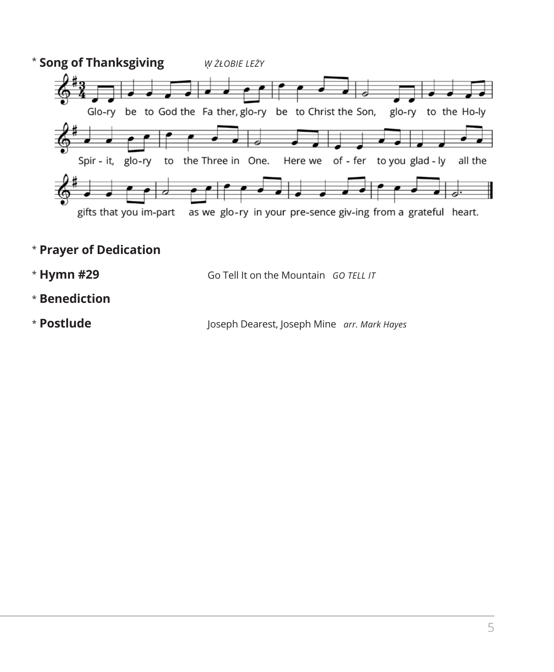

- \* **Prayer of Dedication**
- \* Hymn #29 **Hymn #29** Go Tell It on the Mountain *GO TELL IT*
- \* **Benediction**
- \* Postlude **Postlude** Joseph Dearest, Joseph Mine *arr. Mark Hayes*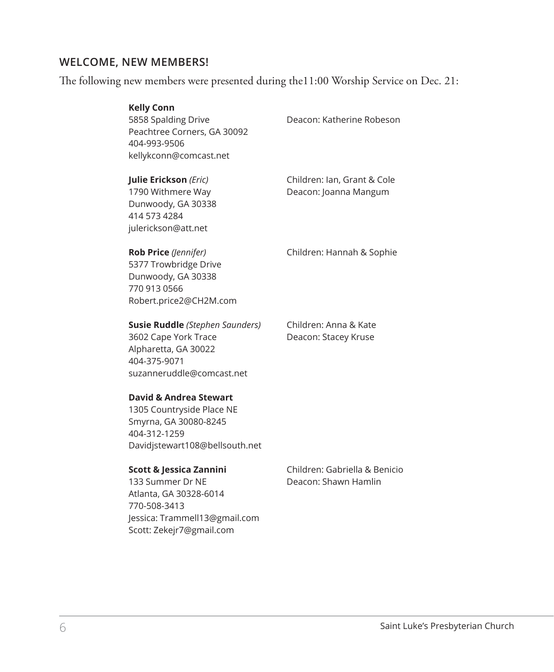#### **WELCOME, NEW MEMBERS!**

The following new members were presented during the11:00 Worship Service on Dec. 21:

| <b>Kelly Conn</b><br>5858 Spalding Drive<br>Peachtree Corners, GA 30092<br>404-993-9506<br>kellykconn@comcast.net                                  | Deacon: Katherine Robeson                             |
|----------------------------------------------------------------------------------------------------------------------------------------------------|-------------------------------------------------------|
| Julie Erickson (Eric)<br>1790 Withmere Way<br>Dunwoody, GA 30338<br>414 573 4284<br>julerickson@att.net                                            | Children: Ian, Grant & Cole<br>Deacon: Joanna Mangum  |
| Rob Price (Jennifer)<br>5377 Trowbridge Drive<br>Dunwoody, GA 30338<br>770 913 0566<br>Robert.price2@CH2M.com                                      | Children: Hannah & Sophie                             |
| <b>Susie Ruddle</b> (Stephen Saunders)<br>3602 Cape York Trace<br>Alpharetta, GA 30022<br>404-375-9071<br>suzanneruddle@comcast.net                | Children: Anna & Kate<br>Deacon: Stacey Kruse         |
| <b>David &amp; Andrea Stewart</b><br>1305 Countryside Place NE<br>Smyrna, GA 30080-8245<br>404-312-1259<br>Davidistewart108@bellsouth.net          |                                                       |
| Scott & Jessica Zannini<br>133 Summer Dr NE<br>Atlanta, GA 30328-6014<br>770-508-3413<br>Jessica: Trammell13@gmail.com<br>Scott: Zekejr7@gmail.com | Children: Gabriella & Benicio<br>Deacon: Shawn Hamlin |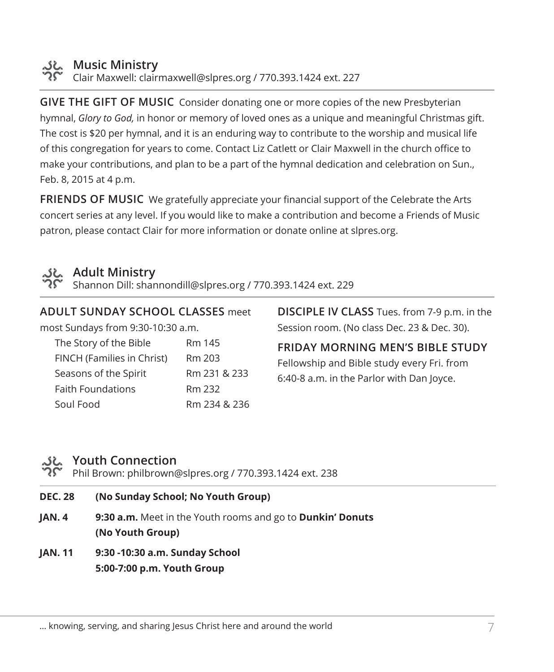

#### **Music Ministry**

Clair Maxwell: clairmaxwell@slpres.org / 770.393.1424 ext. 227

**GIVE THE GIFT OF MUSIC** Consider donating one or more copies of the new Presbyterian hymnal, *Glory to God,* in honor or memory of loved ones as a unique and meaningful Christmas gift. The cost is \$20 per hymnal, and it is an enduring way to contribute to the worship and musical life of this congregation for years to come. Contact Liz Catlett or Clair Maxwell in the church office to make your contributions, and plan to be a part of the hymnal dedication and celebration on Sun., Feb. 8, 2015 at 4 p.m.

**FRIENDS OF MUSIC** We gratefully appreciate your financial support of the Celebrate the Arts concert series at any level. If you would like to make a contribution and become a Friends of Music patron, please contact Clair for more information or donate online at slpres.org.



#### **Adult Ministry**

Shannon Dill: shannondill@slpres.org / 770.393.1424 ext. 229

**ADULT SUNDAY SCHOOL CLASSES** meet most Sundays from 9:30-10:30 a.m. The Story of the Bible Rm 145 FINCH (Families in Christ) Rm 203 Seasons of the Spirit Rm 231 & 233 Faith Foundations Rm 232 Soul Food Rm 234 & 236

**DISCIPLE IV CLASS** Tues. from 7-9 p.m. in the Session room. (No class Dec. 23 & Dec. 30).

**FRIDAY MORNING MEN'S BIBLE STUDY**  Fellowship and Bible study every Fri. from

6:40-8 a.m. in the Parlor with Dan Joyce.

# **Youth Connection**

Phil Brown: philbrown@slpres.org / 770.393.1424 ext. 238

| <b>DEC. 28</b> | (No Sunday School; No Youth Group)                                       |
|----------------|--------------------------------------------------------------------------|
| IAN.4          | <b>9:30 a.m.</b> Meet in the Youth rooms and go to <b>Dunkin' Donuts</b> |
|                | (No Youth Group)                                                         |

**JAN. 11 9:30 -10:30 a.m. Sunday School 5:00-7:00 p.m. Youth Group**

... knowing, serving, and sharing Jesus Christ here and around the world  $\sim$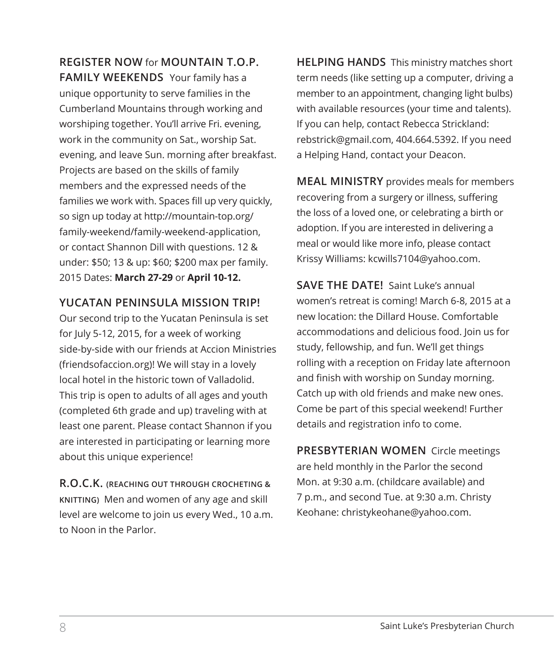**REGISTER NOW** for **MOUNTAIN T.O.P. FAMILY WEEKENDS** Your family has a unique opportunity to serve families in the Cumberland Mountains through working and worshiping together. You'll arrive Fri. evening, work in the community on Sat., worship Sat. evening, and leave Sun. morning after breakfast. Projects are based on the skills of family members and the expressed needs of the families we work with. Spaces fill up very quickly, so sign up today at http://mountain-top.org/ family-weekend/family-weekend-application, or contact Shannon Dill with questions. 12 & under: \$50; 13 & up: \$60; \$200 max per family. 2015 Dates: **March 27-29** or **April 10-12.**

#### **YUCATAN PENINSULA MISSION TRIP!**

Our second trip to the Yucatan Peninsula is set for July 5-12, 2015, for a week of working side-by-side with our friends at Accion Ministries (friendsofaccion.org)! We will stay in a lovely local hotel in the historic town of Valladolid. This trip is open to adults of all ages and youth (completed 6th grade and up) traveling with at least one parent. Please contact Shannon if you are interested in participating or learning more about this unique experience!

**R.O.C.K. (REACHING OUT THROUGH CROCHETING & KNITTING)** Men and women of any age and skill level are welcome to join us every Wed., 10 a.m. to Noon in the Parlor.

**HELPING HANDS** This ministry matches short term needs (like setting up a computer, driving a member to an appointment, changing light bulbs) with available resources (your time and talents). If you can help, contact Rebecca Strickland: rebstrick@gmail.com, 404.664.5392. If you need a Helping Hand, contact your Deacon.

**MEAL MINISTRY** provides meals for members recovering from a surgery or illness, suffering the loss of a loved one, or celebrating a birth or adoption. If you are interested in delivering a meal or would like more info, please contact Krissy Williams: kcwills7104@yahoo.com.

**SAVE THE DATE!** Saint Luke's annual women's retreat is coming! March 6-8, 2015 at a new location: the Dillard House. Comfortable accommodations and delicious food. Join us for study, fellowship, and fun. We'll get things rolling with a reception on Friday late afternoon and finish with worship on Sunday morning. Catch up with old friends and make new ones. Come be part of this special weekend! Further details and registration info to come.

**PRESBYTERIAN WOMEN** Circle meetings are held monthly in the Parlor the second Mon. at 9:30 a.m. (childcare available) and 7 p.m., and second Tue. at 9:30 a.m. Christy Keohane: christykeohane@yahoo.com.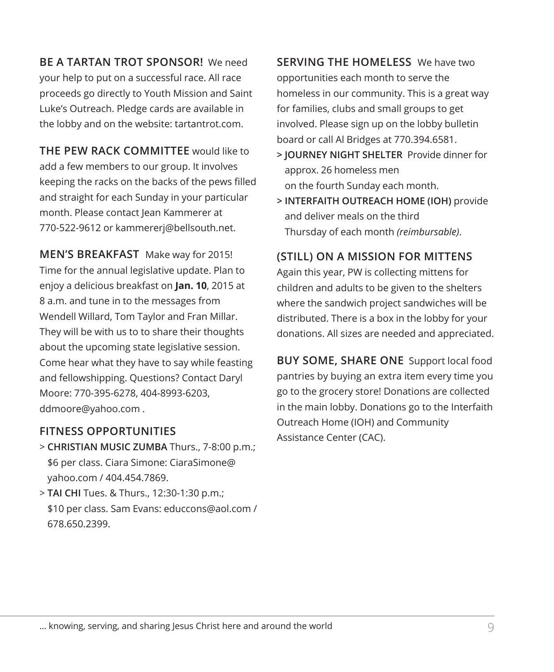**BE A TARTAN TROT SPONSOR!** We need your help to put on a successful race. All race proceeds go directly to Youth Mission and Saint Luke's Outreach. Pledge cards are available in the lobby and on the website: tartantrot.com.

**THE PEW RACK COMMITTEE** would like to add a few members to our group. It involves keeping the racks on the backs of the pews filled and straight for each Sunday in your particular month. Please contact Jean Kammerer at 770-522-9612 or kammererj@bellsouth.net.

**MEN'S BREAKFAST** Make way for 2015! Time for the annual legislative update. Plan to enjoy a delicious breakfast on **Jan. 10**, 2015 at 8 a.m. and tune in to the messages from Wendell Willard, Tom Taylor and Fran Millar. They will be with us to to share their thoughts about the upcoming state legislative session. Come hear what they have to say while feasting and fellowshipping. Questions? Contact Daryl Moore: 770-395-6278, 404-8993-6203, ddmoore@yahoo.com .

#### **FITNESS OPPORTUNITIES**

> **CHRISTIAN MUSIC ZUMBA** Thurs., 7-8:00 p.m.; \$6 per class. Ciara Simone: CiaraSimone@ yahoo.com / 404.454.7869.

> **TAI CHI** Tues. & Thurs., 12:30-1:30 p.m.; \$10 per class. Sam Evans: educcons@aol.com / 678.650.2399.

**SERVING THE HOMELESS** We have two opportunities each month to serve the homeless in our community. This is a great way for families, clubs and small groups to get involved. Please sign up on the lobby bulletin board or call Al Bridges at 770.394.6581.

- **> JOURNEY NIGHT SHELTER** Provide dinner for approx. 26 homeless men on the fourth Sunday each month.
- **> INTERFAITH OUTREACH HOME (IOH)** provide and deliver meals on the third Thursday of each month *(reimbursable)*.

### **(STILL) ON A MISSION FOR MITTENS**

Again this year, PW is collecting mittens for children and adults to be given to the shelters where the sandwich project sandwiches will be distributed. There is a box in the lobby for your donations. All sizes are needed and appreciated.

**BUY SOME, SHARE ONE** Support local food pantries by buying an extra item every time you go to the grocery store! Donations are collected in the main lobby. Donations go to the Interfaith Outreach Home (IOH) and Community Assistance Center (CAC).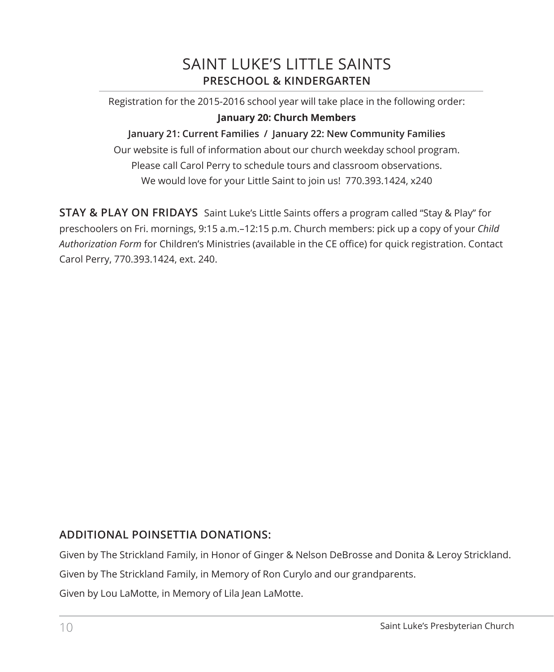# SAINT LUKE'S LITTLE SAINTS **PRESCHOOL & KINDERGARTEN**

Registration for the 2015-2016 school year will take place in the following order: **January 20: Church Members**

#### **January 21: Current Families / January 22: New Community Families**

Our website is full of information about our church weekday school program. Please call Carol Perry to schedule tours and classroom observations. We would love for your Little Saint to join us! 770.393.1424, x240

**STAY & PLAY ON FRIDAYS** Saint Luke's Little Saints offers a program called "Stay & Play" for preschoolers on Fri. mornings, 9:15 a.m.–12:15 p.m. Church members: pick up a copy of your *Child Authorization Form* for Children's Ministries (available in the CE office) for quick registration. Contact Carol Perry, 770.393.1424, ext. 240.

#### **ADDITIONAL POINSETTIA DONATIONS:**

Given by The Strickland Family, in Honor of Ginger & Nelson DeBrosse and Donita & Leroy Strickland.

Given by The Strickland Family, in Memory of Ron Curylo and our grandparents.

Given by Lou LaMotte, in Memory of Lila Jean LaMotte.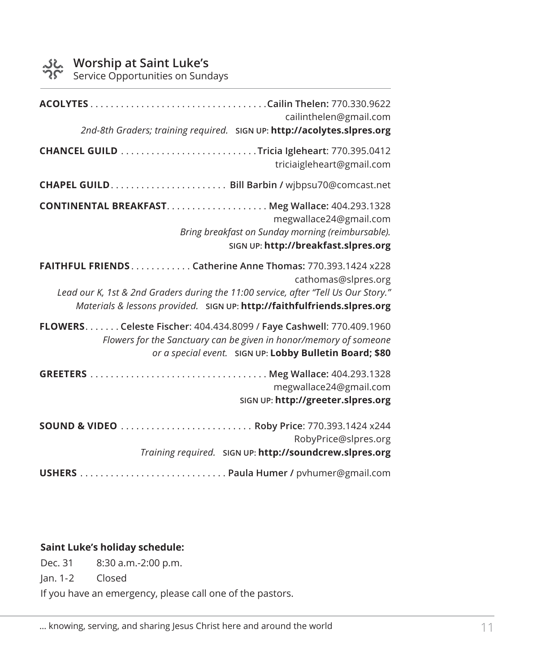Service Opportunities on Sundays

| cailinthelen@gmail.com<br>2nd-8th Graders; training required. SIGN UP: http://acolytes.slpres.org                                                                                                                                                   |
|-----------------------------------------------------------------------------------------------------------------------------------------------------------------------------------------------------------------------------------------------------|
| triciaigleheart@gmail.com                                                                                                                                                                                                                           |
|                                                                                                                                                                                                                                                     |
| megwallace24@gmail.com<br>Bring breakfast on Sunday morning (reimbursable).<br>SIGN UP: http://breakfast.slpres.org                                                                                                                                 |
| FAITHFUL FRIENDS. Catherine Anne Thomas: 770.393.1424 x228<br>cathomas@slpres.org<br>Lead our K, 1st & 2nd Graders during the 11:00 service, after "Tell Us Our Story."<br>Materials & lessons provided. SIGN UP: http://faithfulfriends.slpres.org |
| FLOWERS. Celeste Fischer: 404.434.8099 / Faye Cashwell: 770.409.1960<br>Flowers for the Sanctuary can be given in honor/memory of someone<br>or a special event. SIGN UP: Lobby Bulletin Board; \$80                                                |
| megwallace24@gmail.com<br>SIGN UP: http://greeter.slpres.org                                                                                                                                                                                        |
| RobyPrice@slpres.org<br>Training required. SIGN UP: http://soundcrew.slpres.org                                                                                                                                                                     |
|                                                                                                                                                                                                                                                     |

#### **Saint Luke's holiday schedule:**

Dec. 31 8:30 a.m.-2:00 p.m.

Jan. 1-2 Closed

If you have an emergency, please call one of the pastors.